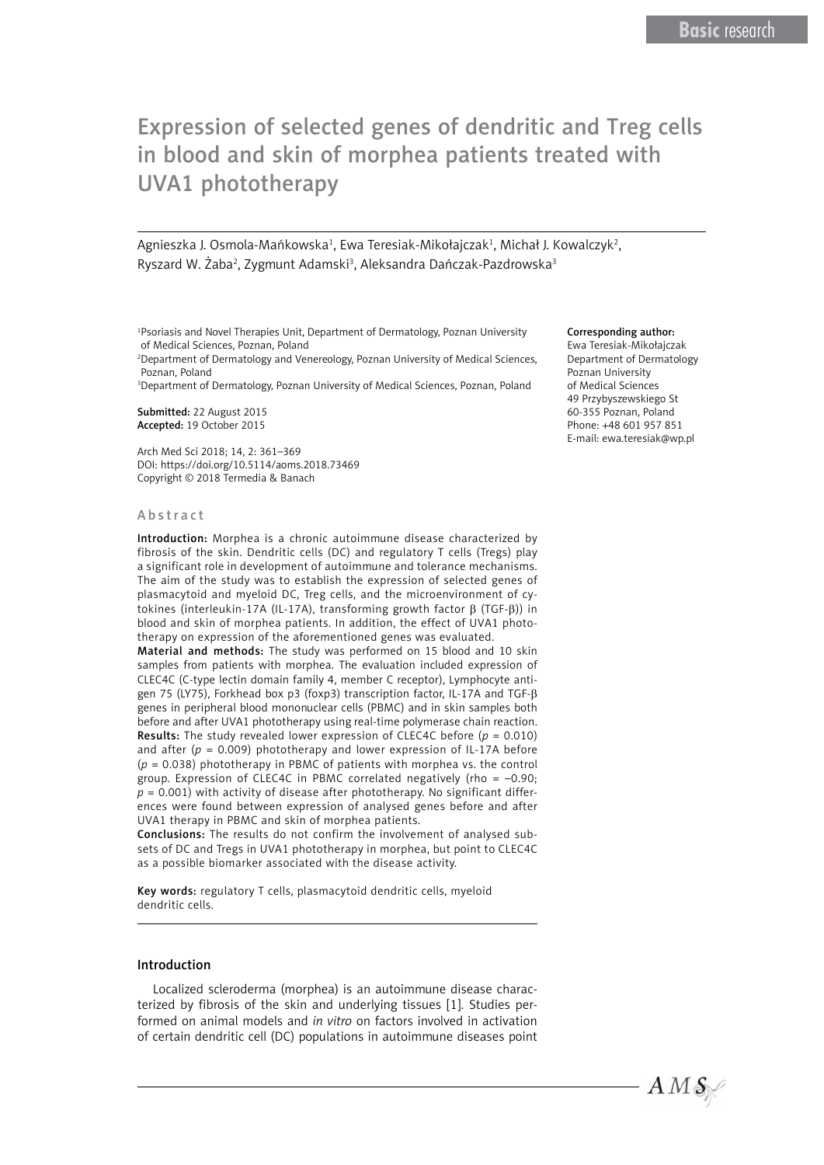# Expression of selected genes of dendritic and Treg cells in blood and skin of morphea patients treated with UVA1 phototherapy

Agnieszka J. Osmola-Mańkowska<sup>1</sup>, Ewa Teresiak-Mikołajczak<sup>1</sup>, Michał J. Kowalczyk<sup>2</sup>, Ryszard W. Żaba<sup>2</sup>, Zygmunt Adamski<sup>3</sup>, Aleksandra Dańczak-Pazdrowska<sup>3</sup>

1 Psoriasis and Novel Therapies Unit, Department of Dermatology, Poznan University of Medical Sciences, Poznan, Poland

2 Department of Dermatology and Venereology, Poznan University of Medical Sciences, Poznan, Poland

3 Department of Dermatology, Poznan University of Medical Sciences, Poznan, Poland

Submitted: 22 August 2015 Accepted: 19 October 2015

Arch Med Sci 2018; 14, 2: 361–369 DOI: https://doi.org/10.5114/aoms.2018.73469 Copyright © 2018 Termedia & Banach

#### Abstract

Introduction: Morphea is a chronic autoimmune disease characterized by fibrosis of the skin. Dendritic cells (DC) and regulatory T cells (Tregs) play a significant role in development of autoimmune and tolerance mechanisms. The aim of the study was to establish the expression of selected genes of plasmacytoid and myeloid DC, Treg cells, and the microenvironment of cytokines (interleukin-17A (IL-17A), transforming growth factor  $β$  (TGF- $β$ )) in blood and skin of morphea patients. In addition, the effect of UVA1 phototherapy on expression of the aforementioned genes was evaluated.

Material and methods: The study was performed on 15 blood and 10 skin samples from patients with morphea. The evaluation included expression of CLEC4C (C-type lectin domain family 4, member C receptor), Lymphocyte antigen 75 (LY75), Forkhead box p3 (foxp3) transcription factor, IL-17A and TGF-β genes in peripheral blood mononuclear cells (PBMC) and in skin samples both before and after UVA1 phototherapy using real-time polymerase chain reaction. **Results:** The study revealed lower expression of CLEC4C before  $(p = 0.010)$ and after  $(p = 0.009)$  phototherapy and lower expression of IL-17A before (*p* = 0.038) phototherapy in PBMC of patients with morphea vs. the control group. Expression of CLEC4C in PBMC correlated negatively (rho = –0.90;  $p = 0.001$ ) with activity of disease after phototherapy. No significant differences were found between expression of analysed genes before and after UVA1 therapy in PBMC and skin of morphea patients.

Conclusions: The results do not confirm the involvement of analysed subsets of DC and Tregs in UVA1 phototherapy in morphea, but point to CLEC4C as a possible biomarker associated with the disease activity.

Key words: regulatory T cells, plasmacytoid dendritic cells, myeloid dendritic cells.

## Introduction

Localized scleroderma (morphea) is an autoimmune disease characterized by fibrosis of the skin and underlying tissues [1]. Studies performed on animal models and *in vitro* on factors involved in activation of certain dendritic cell (DC) populations in autoimmune diseases point

#### Corresponding author:

Ewa Teresiak-Mikołajczak Department of Dermatology Poznan University of Medical Sciences 49 Przybyszewskiego St 60-355 Poznan, Poland Phone: +48 601 957 851 E-mail: ewa.teresiak@wp.pl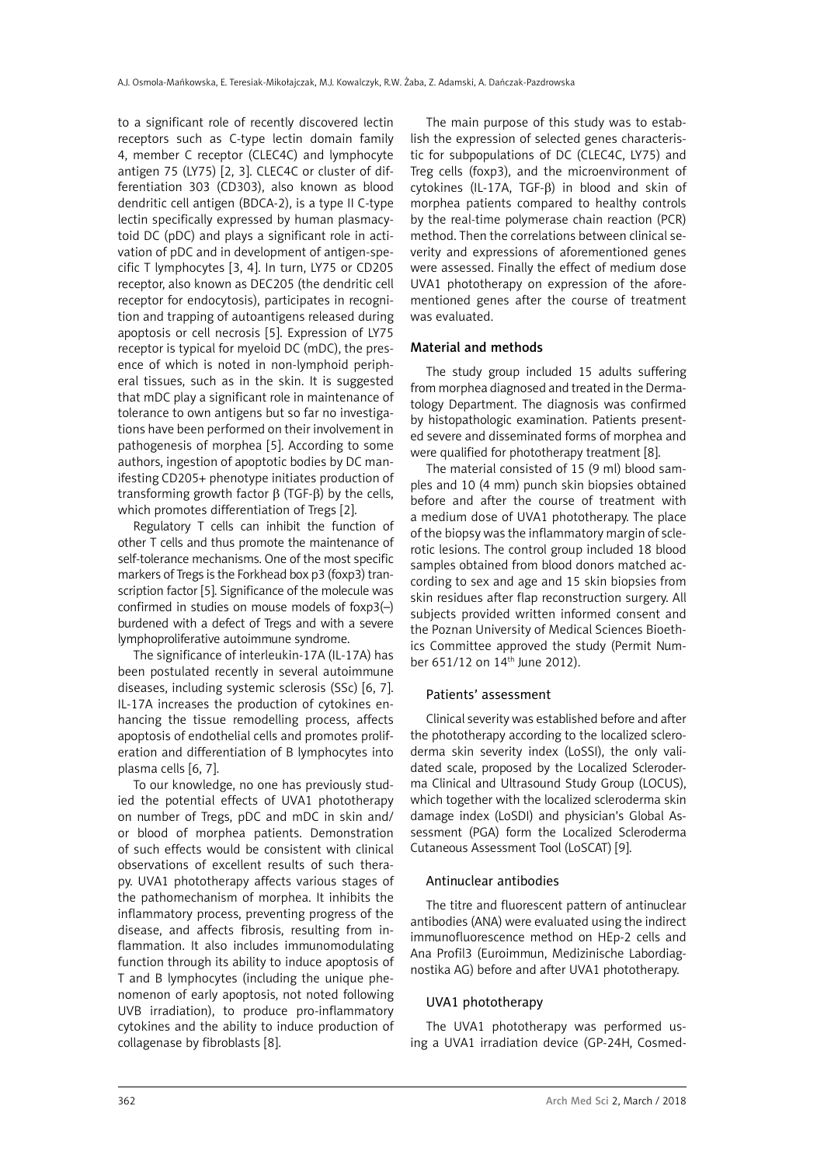to a significant role of recently discovered lectin receptors such as C-type lectin domain family 4, member C receptor (CLEC4C) and lymphocyte antigen 75 (LY75) [2, 3]. CLEC4C or cluster of differentiation 303 (CD303), also known as blood dendritic cell antigen (BDCA-2), is a type II C-type lectin specifically expressed by human plasmacytoid DC (pDC) and plays a significant role in activation of pDC and in development of antigen-specific T lymphocytes [3, 4]. In turn, LY75 or CD205 receptor, also known as DEC205 (the dendritic cell receptor for endocytosis), participates in recognition and trapping of autoantigens released during apoptosis or cell necrosis [5]. Expression of LY75 receptor is typical for myeloid DC (mDC), the presence of which is noted in non-lymphoid peripheral tissues, such as in the skin. It is suggested that mDC play a significant role in maintenance of tolerance to own antigens but so far no investigations have been performed on their involvement in pathogenesis of morphea [5]. According to some authors, ingestion of apoptotic bodies by DC manifesting CD205+ phenotype initiates production of transforming growth factor β (TGF-β) by the cells, which promotes differentiation of Tregs [2].

Regulatory T cells can inhibit the function of other T cells and thus promote the maintenance of self-tolerance mechanisms. One of the most specific markers of Tregs is the Forkhead box p3 (foxp3) transcription factor [5]. Significance of the molecule was confirmed in studies on mouse models of foxp3(–) burdened with a defect of Tregs and with a severe lymphoproliferative autoimmune syndrome.

The significance of interleukin-17A (IL-17A) has been postulated recently in several autoimmune diseases, including systemic sclerosis (SSc) [6, 7]. IL-17A increases the production of cytokines enhancing the tissue remodelling process, affects apoptosis of endothelial cells and promotes proliferation and differentiation of B lymphocytes into plasma cells [6, 7].

To our knowledge, no one has previously studied the potential effects of UVA1 phototherapy on number of Tregs, pDC and mDC in skin and/ or blood of morphea patients. Demonstration of such effects would be consistent with clinical observations of excellent results of such therapy. UVA1 phototherapy affects various stages of the pathomechanism of morphea. It inhibits the inflammatory process, preventing progress of the disease, and affects fibrosis, resulting from inflammation. It also includes immunomodulating function through its ability to induce apoptosis of T and B lymphocytes (including the unique phenomenon of early apoptosis, not noted following UVB irradiation), to produce pro-inflammatory cytokines and the ability to induce production of collagenase by fibroblasts [8].

The main purpose of this study was to establish the expression of selected genes characteristic for subpopulations of DC (CLEC4C, LY75) and Treg cells (foxp3), and the microenvironment of cytokines (IL-17A, TGF-β) in blood and skin of morphea patients compared to healthy controls by the real-time polymerase chain reaction (PCR) method. Then the correlations between clinical severity and expressions of aforementioned genes were assessed. Finally the effect of medium dose UVA1 phototherapy on expression of the aforementioned genes after the course of treatment was evaluated.

## Material and methods

The study group included 15 adults suffering from morphea diagnosed and treated in the Dermatology Department. The diagnosis was confirmed by histopathologic examination. Patients presented severe and disseminated forms of morphea and were qualified for phototherapy treatment [8].

The material consisted of 15 (9 ml) blood samples and 10 (4 mm) punch skin biopsies obtained before and after the course of treatment with a medium dose of UVA1 phototherapy. The place of the biopsy was the inflammatory margin of sclerotic lesions. The control group included 18 blood samples obtained from blood donors matched according to sex and age and 15 skin biopsies from skin residues after flap reconstruction surgery. All subjects provided written informed consent and the Poznan University of Medical Sciences Bioethics Committee approved the study (Permit Number 651/12 on 14<sup>th</sup> June 2012).

## Patients' assessment

Clinical severity was established before and after the phototherapy according to the localized scleroderma skin severity index (LoSSI), the only validated scale, proposed by the Localized Scleroderma Clinical and Ultrasound Study Group (LOCUS), which together with the localized scleroderma skin damage index (LoSDI) and physician's Global Assessment (PGA) form the Localized Scleroderma Cutaneous Assessment Tool (LoSCAT) [9].

## Antinuclear antibodies

The titre and fluorescent pattern of antinuclear antibodies (ANA) were evaluated using the indirect immunofluorescence method on HEp-2 cells and Ana Profil3 (Euroimmun, Medizinische Labordiagnostika AG) before and after UVA1 phototherapy.

## UVA1 phototherapy

The UVA1 phototherapy was performed using a UVA1 irradiation device (GP-24H, Cosmed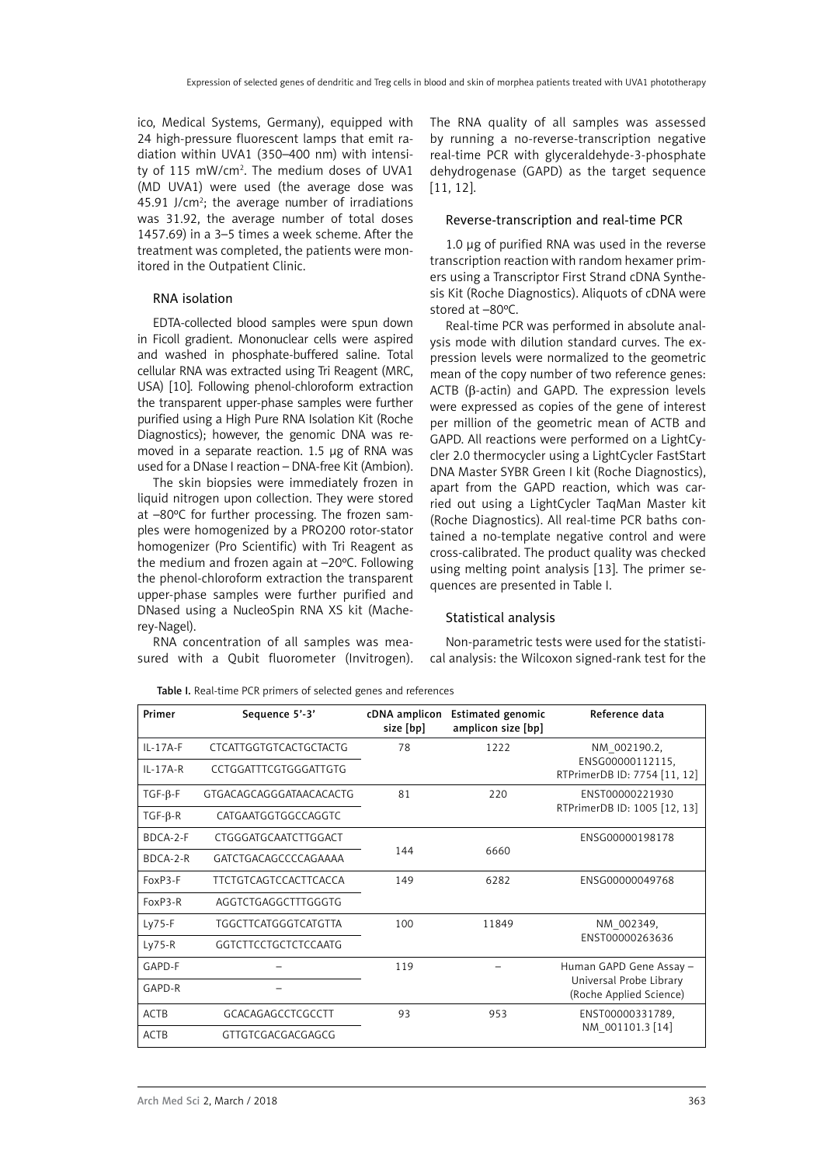ico, Medical Systems, Germany), equipped with 24 high-pressure fluorescent lamps that emit radiation within UVA1 (350–400 nm) with intensity of 115 mW/cm<sup>2</sup>. The medium doses of UVA1 (MD UVA1) were used (the average dose was 45.91 J/ $cm<sup>2</sup>$ ; the average number of irradiations was 31.92, the average number of total doses 1457.69) in a 3–5 times a week scheme. After the treatment was completed, the patients were monitored in the Outpatient Clinic.

## RNA isolation

EDTA-collected blood samples were spun down in Ficoll gradient. Mononuclear cells were aspired and washed in phosphate-buffered saline. Total cellular RNA was extracted using Tri Reagent (MRC, USA) [10]. Following phenol-chloroform extraction the transparent upper-phase samples were further purified using a High Pure RNA Isolation Kit (Roche Diagnostics); however, the genomic DNA was removed in a separate reaction. 1.5 μg of RNA was used for a DNase I reaction – DNA-free Kit (Ambion).

The skin biopsies were immediately frozen in liquid nitrogen upon collection. They were stored at –80ºC for further processing. The frozen samples were homogenized by a PRO200 rotor-stator homogenizer (Pro Scientific) with Tri Reagent as the medium and frozen again at –20ºC. Following the phenol-chloroform extraction the transparent upper-phase samples were further purified and DNased using a NucleoSpin RNA XS kit (Macherey-Nagel).

RNA concentration of all samples was measured with a Qubit fluorometer (Invitrogen). The RNA quality of all samples was assessed by running a no-reverse-transcription negative real-time PCR with glyceraldehyde-3-phosphate dehydrogenase (GAPD) as the target sequence [11, 12].

# Reverse-transcription and real-time PCR

1.0 μg of purified RNA was used in the reverse transcription reaction with random hexamer primers using a Transcriptor First Strand cDNA Synthesis Kit (Roche Diagnostics). Aliquots of cDNA were stored at –80ºC.

Real-time PCR was performed in absolute analysis mode with dilution standard curves. The expression levels were normalized to the geometric mean of the copy number of two reference genes: ACTB (β-actin) and GAPD. The expression levels were expressed as copies of the gene of interest per million of the geometric mean of ACTB and GAPD. All reactions were performed on a LightCycler 2.0 thermocycler using a LightCycler FastStart DNA Master SYBR Green I kit (Roche Diagnostics), apart from the GAPD reaction, which was carried out using a LightCycler TaqMan Master kit (Roche Diagnostics). All real-time PCR baths contained a no-template negative control and were cross-calibrated. The product quality was checked using melting point analysis [13]. The primer sequences are presented in Table I.

## Statistical analysis

Non-parametric tests were used for the statistical analysis: the Wilcoxon signed-rank test for the

| Primer         | Sequence 5'-3'               | cDNA amplicon<br>size [bp] | <b>Estimated genomic</b><br>amplicon size [bp] | Reference data                                     |
|----------------|------------------------------|----------------------------|------------------------------------------------|----------------------------------------------------|
| $IL - 17A - F$ | CTCATTGGTGTCACTGCTACTG       | 78                         | 1222                                           | NM 002190.2,                                       |
| $IL-17A-R$     | CCTGGATTTCGTGGGATTGTG        |                            |                                                | ENSG00000112115,<br>RTPrimerDB ID: 7754 [11, 12]   |
| $TGF-β-F$      | GTGACAGCAGGGATAACACACTG      | 81                         | 220                                            | ENST00000221930                                    |
| $TGF-\beta-R$  | CATGAATGGTGGCCAGGTC          |                            |                                                | RTPrimerDB ID: 1005 [12, 13]                       |
| BDCA-2-F       | CTGGGATGCAATCTTGGACT         |                            |                                                | ENSG00000198178                                    |
| $BDCA-2-R$     | GATCTGACAGCCCCAGAAAA         | 144                        | 6660                                           |                                                    |
| FoxP3-F        | <b>TTCTGTCAGTCCACTTCACCA</b> | 149                        | 6282                                           | ENSG00000049768                                    |
| $FoxP3-R$      | AGGTCTGAGGCTTTGGGTG          |                            |                                                |                                                    |
| $Ly75-F$       | TGGCTTCATGGGTCATGTTA         | 100                        | 11849                                          | NM 002349,                                         |
| $Ly75-R$       | <b>GGTCTTCCTGCTCTCCAATG</b>  |                            |                                                | ENST00000263636                                    |
| GAPD-F         |                              | 119                        |                                                | Human GAPD Gene Assay -                            |
| GAPD-R         |                              |                            |                                                | Universal Probe Library<br>(Roche Applied Science) |
| <b>ACTB</b>    | GCACAGAGCCTCGCCTT            | 93                         | 953                                            | ENST00000331789,                                   |
| <b>ACTB</b>    | GTTGTCGACGACGAGCG            |                            |                                                | NM 001101.3 [14]                                   |

Table I. Real-time PCR primers of selected genes and references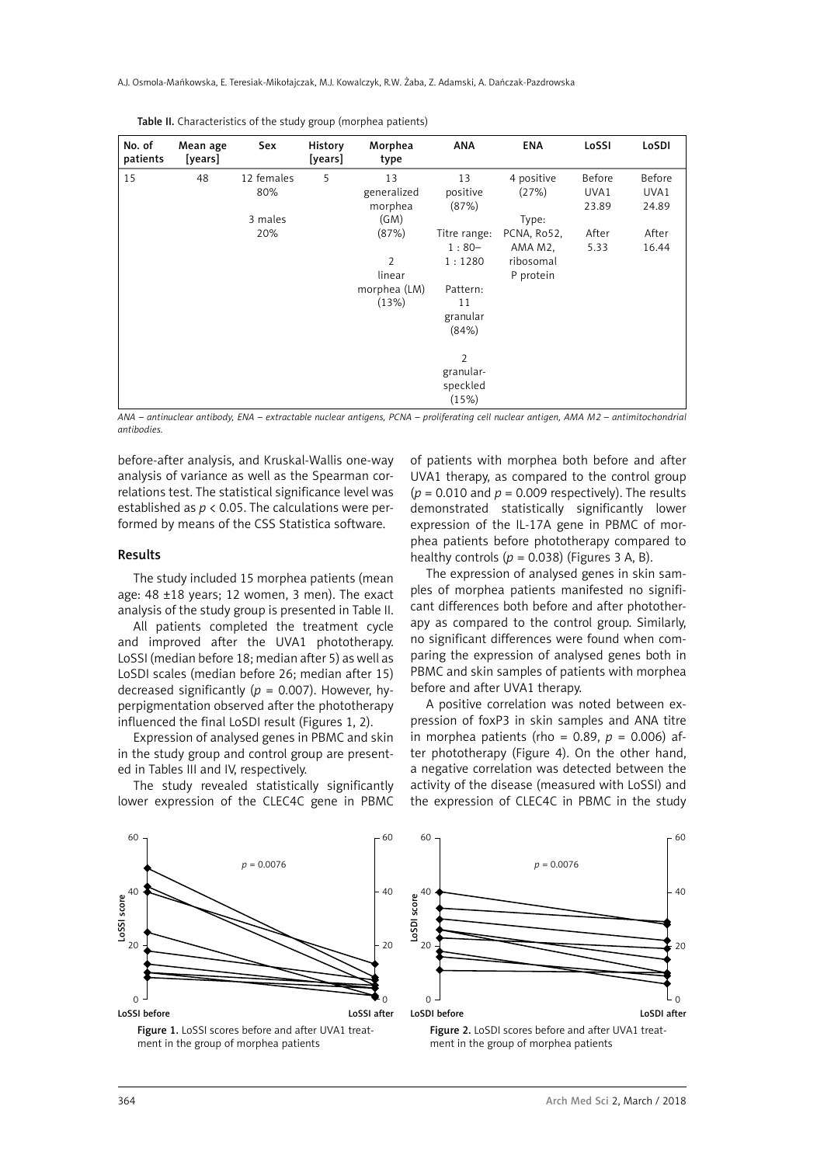| No. of<br>patients | Mean age<br>[years] | Sex        | History<br>[years] | Morphea<br>type | <b>ANA</b>   | <b>ENA</b>  | LoSSI  | LoSDI  |
|--------------------|---------------------|------------|--------------------|-----------------|--------------|-------------|--------|--------|
| 15                 | 48                  | 12 females | 5                  | 13              | 13           | 4 positive  | Before | Before |
|                    |                     | 80%        |                    | generalized     | positive     | (27%)       | UVA1   | UVA1   |
|                    |                     |            |                    | morphea         | (87%)        |             | 23.89  | 24.89  |
|                    |                     | 3 males    |                    | (GM)            |              | Type:       |        |        |
|                    |                     | 20%        |                    | (87%)           | Titre range: | PCNA, Ro52, | After  | After  |
|                    |                     |            |                    |                 | $1:80-$      | AMA M2,     | 5.33   | 16.44  |
|                    |                     |            |                    | 2               | 1:1280       | ribosomal   |        |        |
|                    |                     |            |                    | linear          |              | P protein   |        |        |
|                    |                     |            |                    | morphea (LM)    | Pattern:     |             |        |        |
|                    |                     |            |                    | (13%)           | 11           |             |        |        |
|                    |                     |            |                    |                 | granular     |             |        |        |
|                    |                     |            |                    |                 | (84%)        |             |        |        |
|                    |                     |            |                    |                 | 2            |             |        |        |
|                    |                     |            |                    |                 | granular-    |             |        |        |
|                    |                     |            |                    |                 | speckled     |             |        |        |
|                    |                     |            |                    |                 | (15%)        |             |        |        |

*ANA – antinuclear antibody, ENA – extractable nuclear antigens, PCNA – proliferating cell nuclear antigen, AMA M2 – antimitochondrial antibodies.*

before-after analysis, and Kruskal-Wallis one-way analysis of variance as well as the Spearman correlations test. The statistical significance level was established as  $p < 0.05$ . The calculations were performed by means of the CSS Statistica software.

#### Results

The study included 15 morphea patients (mean age: 48 ±18 years; 12 women, 3 men). The exact analysis of the study group is presented in Table II.

All patients completed the treatment cycle and improved after the UVA1 phototherapy. LoSSI (median before 18; median after 5) as well as LoSDI scales (median before 26; median after 15) decreased significantly (*p* = 0.007). However, hyperpigmentation observed after the phototherapy influenced the final LoSDI result (Figures 1, 2).

Expression of analysed genes in PBMC and skin in the study group and control group are presented in Tables III and IV, respectively.

The study revealed statistically significantly lower expression of the CLEC4C gene in PBMC of patients with morphea both before and after UVA1 therapy, as compared to the control group  $(p = 0.010$  and  $p = 0.009$  respectively). The results demonstrated statistically significantly lower expression of the IL-17A gene in PBMC of morphea patients before phototherapy compared to healthy controls  $(p = 0.038)$  (Figures 3 A, B).

The expression of analysed genes in skin samples of morphea patients manifested no significant differences both before and after phototherapy as compared to the control group. Similarly, no significant differences were found when comparing the expression of analysed genes both in PBMC and skin samples of patients with morphea before and after UVA1 therapy.

A positive correlation was noted between expression of foxP3 in skin samples and ANA titre in morphea patients (rho =  $0.89$ ,  $p = 0.006$ ) after phototherapy (Figure 4). On the other hand, a negative correlation was detected between the activity of the disease (measured with LoSSI) and the expression of CLEC4C in PBMC in the study







Figure 2. LoSDI scores before and after UVA1 treatment in the group of morphea patients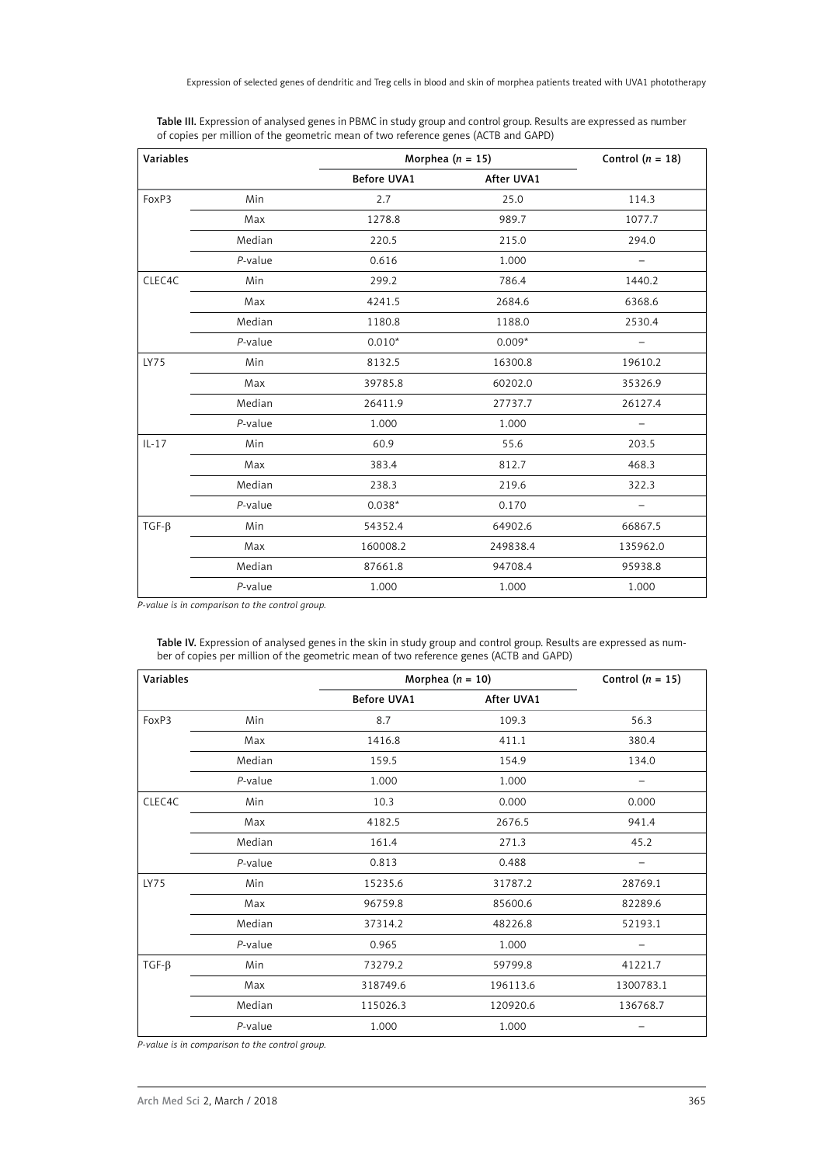Expression of selected genes of dendritic and Treg cells in blood and skin of morphea patients treated with UVA1 phototherapy

| Variables |            | Morphea $(n = 15)$ | Control $(n = 18)$ |                          |
|-----------|------------|--------------------|--------------------|--------------------------|
|           |            | <b>Before UVA1</b> | After UVA1         |                          |
| FoxP3     | Min        | 2.7                | 25.0               | 114.3                    |
|           | Max        | 1278.8             | 989.7              | 1077.7                   |
|           | Median     | 220.5              | 215.0              | 294.0                    |
|           | $P$ -value | 0.616              | 1.000              |                          |
| CLEC4C    | Min        | 299.2              | 786.4              | 1440.2                   |
|           | Max        | 4241.5             | 2684.6             | 6368.6                   |
|           | Median     | 1180.8             | 1188.0             | 2530.4                   |
|           | $P$ -value | $0.010*$           | $0.009*$           | -                        |
| LY75      | Min        | 8132.5             | 16300.8            | 19610.2                  |
|           | Max        | 39785.8            | 60202.0            | 35326.9                  |
|           | Median     | 26411.9            | 27737.7            | 26127.4                  |
|           | $P$ -value | 1.000              | 1.000              | $\overline{\phantom{0}}$ |
| $IL-17$   | Min        | 60.9               | 55.6               | 203.5                    |
|           | Max        | 383.4              | 812.7              | 468.3                    |
|           | Median     | 238.3              | 219.6              | 322.3                    |
|           | $P$ -value | $0.038*$           | 0.170              |                          |
| $TGF-B$   | Min        | 54352.4            | 64902.6            | 66867.5                  |
|           | Max        | 160008.2           | 249838.4           | 135962.0                 |
|           | Median     | 87661.8            | 94708.4            | 95938.8                  |
|           | $P$ -value | 1.000              | 1.000              | 1.000                    |

Table III. Expression of analysed genes in PBMC in study group and control group. Results are expressed as number of copies per million of the geometric mean of two reference genes (ACTB and GAPD)

*P-value is in comparison to the control group.*

Table IV. Expression of analysed genes in the skin in study group and control group. Results are expressed as number of copies per million of the geometric mean of two reference genes (ACTB and GAPD)

| Variables   |            | Morphea $(n = 10)$ | Control $(n = 15)$ |           |
|-------------|------------|--------------------|--------------------|-----------|
|             |            | <b>Before UVA1</b> | After UVA1         |           |
| FoxP3       | Min        | 8.7                | 109.3              | 56.3      |
|             | Max        | 1416.8             | 411.1              | 380.4     |
|             | Median     | 159.5              | 154.9              | 134.0     |
|             | $P$ -value | 1.000              | 1.000              |           |
| CLEC4C      | Min        | 10.3               | 0.000              | 0.000     |
|             | Max        | 4182.5             | 2676.5             | 941.4     |
|             | Median     | 161.4              | 271.3              | 45.2      |
|             | $P$ -value | 0.813              | 0.488              |           |
| LY75        | Min        | 15235.6            | 31787.2            | 28769.1   |
|             | Max        | 96759.8            | 85600.6            | 82289.6   |
|             | Median     | 37314.2            | 48226.8            | 52193.1   |
|             | $P$ -value | 0.965              | 1.000              |           |
| $TGF-\beta$ | Min        | 73279.2            | 59799.8            | 41221.7   |
|             | Max        | 318749.6           | 196113.6           | 1300783.1 |
|             | Median     | 115026.3           | 120920.6           | 136768.7  |
|             | $P$ -value | 1.000              | 1.000              |           |

*P-value is in comparison to the control group.*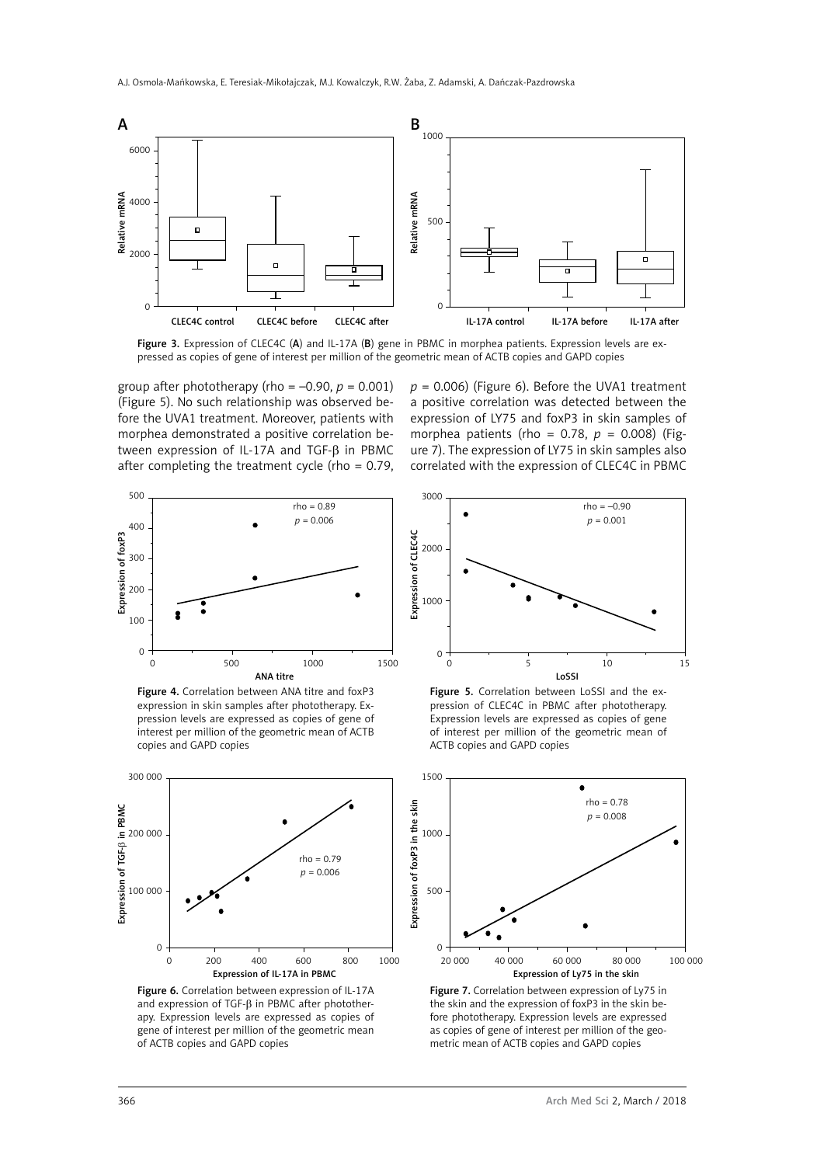

Figure 3. Expression of CLEC4C (A) and IL-17A (B) gene in PBMC in morphea patients. Expression levels are expressed as copies of gene of interest per million of the geometric mean of ACTB copies and GAPD copies

group after phototherapy (rho =  $-0.90$ ,  $p = 0.001$ ) (Figure 5). No such relationship was observed before the UVA1 treatment. Moreover, patients with morphea demonstrated a positive correlation between expression of IL-17A and TGF-β in PBMC after completing the treatment cycle (rho = 0.79,  $p = 0.006$ ) (Figure 6). Before the UVA1 treatment a positive correlation was detected between the expression of LY75 and foxP3 in skin samples of morphea patients (rho = 0.78, *p* = 0.008) (Figure 7). The expression of LY75 in skin samples also correlated with the expression of CLEC4C in PBMC



Figure 4. Correlation between ANA titre and foxP3 expression in skin samples after phototherapy. Expression levels are expressed as copies of gene of interest per million of the geometric mean of ACTB copies and GAPD copies



Figure 6. Correlation between expression of IL-17A and expression of TGF-β in PBMC after phototherapy. Expression levels are expressed as copies of gene of interest per million of the geometric mean of ACTB copies and GAPD copies



Figure 5. Correlation between LoSSI and the expression of CLEC4C in PBMC after phototherapy. Expression levels are expressed as copies of gene of interest per million of the geometric mean of ACTB copies and GAPD copies



Figure 7. Correlation between expression of Ly75 in the skin and the expression of foxP3 in the skin before phototherapy. Expression levels are expressed as copies of gene of interest per million of the geometric mean of ACTB copies and GAPD copies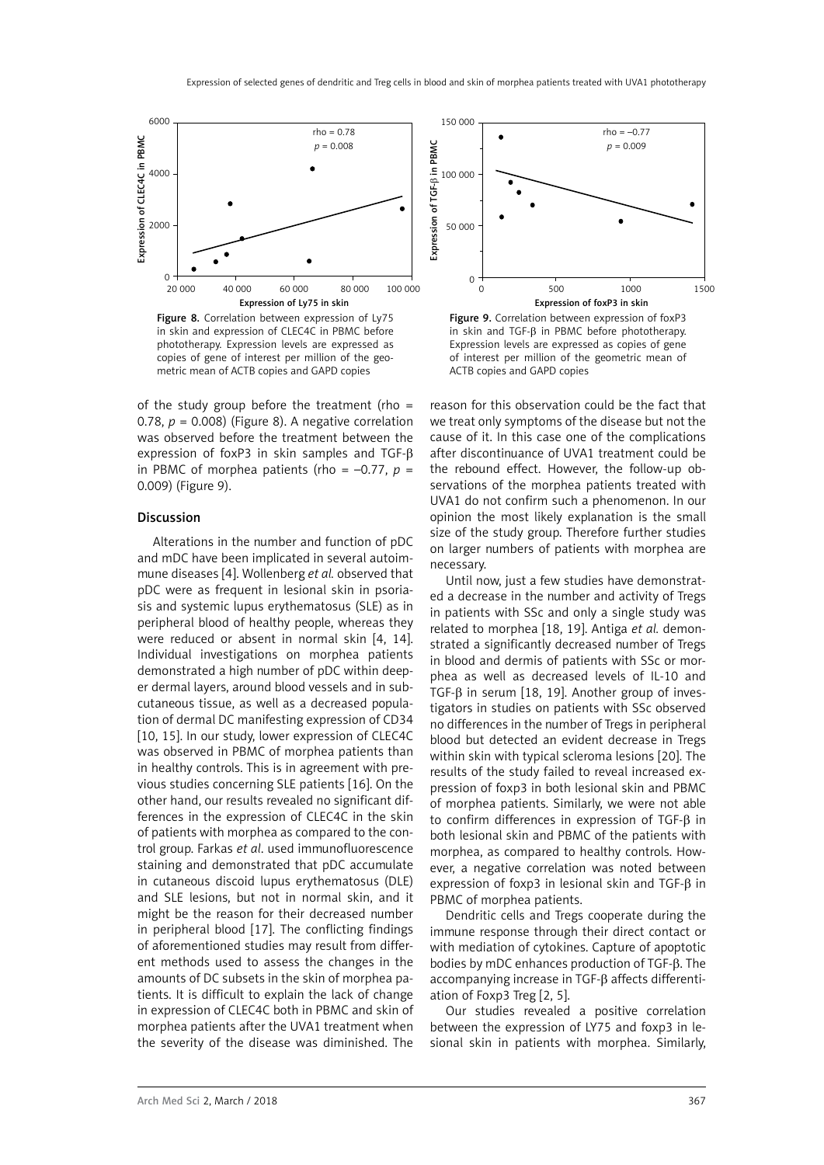

Figure 8. Correlation between expression of Ly75 in skin and expression of CLEC4C in PBMC before phototherapy. Expression levels are expressed as copies of gene of interest per million of the geometric mean of ACTB copies and GAPD copies

of the study group before the treatment (rho = 0.78,  $p = 0.008$ ) (Figure 8). A negative correlation was observed before the treatment between the expression of foxP3 in skin samples and TGF-β in PBMC of morphea patients (rho =  $-0.77$ ,  $p =$ 0.009) (Figure 9).

#### Discussion

Alterations in the number and function of pDC and mDC have been implicated in several autoimmune diseases [4]. Wollenberg *et al.* observed that pDC were as frequent in lesional skin in psoriasis and systemic lupus erythematosus (SLE) as in peripheral blood of healthy people, whereas they were reduced or absent in normal skin [4, 14]. Individual investigations on morphea patients demonstrated a high number of pDC within deeper dermal layers, around blood vessels and in subcutaneous tissue, as well as a decreased population of dermal DC manifesting expression of CD34 [10, 15]. In our study, lower expression of CLEC4C was observed in PBMC of morphea patients than in healthy controls. This is in agreement with previous studies concerning SLE patients [16]. On the other hand, our results revealed no significant differences in the expression of CLEC4C in the skin of patients with morphea as compared to the control group. Farkas *et al*. used immunofluorescence staining and demonstrated that pDC accumulate in cutaneous discoid lupus erythematosus (DLE) and SLE lesions, but not in normal skin, and it might be the reason for their decreased number in peripheral blood [17]. The conflicting findings of aforementioned studies may result from different methods used to assess the changes in the amounts of DC subsets in the skin of morphea patients. It is difficult to explain the lack of change in expression of CLEC4C both in PBMC and skin of morphea patients after the UVA1 treatment when the severity of the disease was diminished. The



Figure 9. Correlation between expression of foxP3 in skin and TGF-β in PBMC before phototherapy. Expression levels are expressed as copies of gene of interest per million of the geometric mean of ACTB copies and GAPD copies

reason for this observation could be the fact that we treat only symptoms of the disease but not the cause of it. In this case one of the complications after discontinuance of UVA1 treatment could be the rebound effect. However, the follow-up observations of the morphea patients treated with UVA1 do not confirm such a phenomenon. In our opinion the most likely explanation is the small size of the study group. Therefore further studies on larger numbers of patients with morphea are necessary.

Until now, just a few studies have demonstrated a decrease in the number and activity of Tregs in patients with SSc and only a single study was related to morphea [18, 19]. Antiga *et al.* demonstrated a significantly decreased number of Tregs in blood and dermis of patients with SSc or morphea as well as decreased levels of IL-10 and TGF-β in serum [18, 19]. Another group of investigators in studies on patients with SSc observed no differences in the number of Tregs in peripheral blood but detected an evident decrease in Tregs within skin with typical scleroma lesions [20]. The results of the study failed to reveal increased expression of foxp3 in both lesional skin and PBMC of morphea patients. Similarly, we were not able to confirm differences in expression of TGF-β in both lesional skin and PBMC of the patients with morphea, as compared to healthy controls. However, a negative correlation was noted between expression of foxp3 in lesional skin and TGF-β in PBMC of morphea patients.

Dendritic cells and Tregs cooperate during the immune response through their direct contact or with mediation of cytokines. Capture of apoptotic bodies by mDC enhances production of TGF-β. The accompanying increase in TGF-β affects differentiation of Foxp3 Treg [2, 5].

Our studies revealed a positive correlation between the expression of LY75 and foxp3 in lesional skin in patients with morphea. Similarly,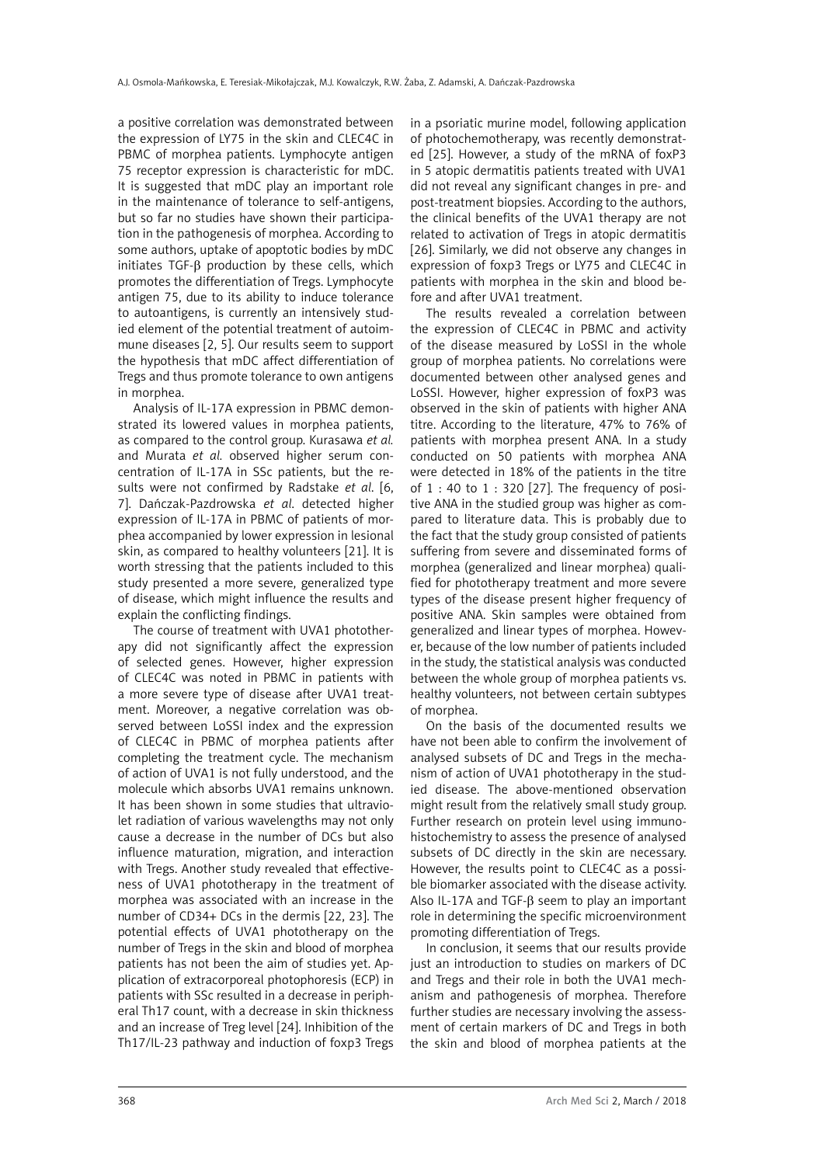a positive correlation was demonstrated between the expression of LY75 in the skin and CLEC4C in PBMC of morphea patients. Lymphocyte antigen 75 receptor expression is characteristic for mDC. It is suggested that mDC play an important role in the maintenance of tolerance to self-antigens, but so far no studies have shown their participation in the pathogenesis of morphea. According to some authors, uptake of apoptotic bodies by mDC initiates TGF-β production by these cells, which promotes the differentiation of Tregs. Lymphocyte antigen 75, due to its ability to induce tolerance to autoantigens, is currently an intensively studied element of the potential treatment of autoimmune diseases [2, 5]. Our results seem to support the hypothesis that mDC affect differentiation of Tregs and thus promote tolerance to own antigens in morphea.

Analysis of IL-17A expression in PBMC demonstrated its lowered values in morphea patients, as compared to the control group. Kurasawa *et al.* and Murata *et al.* observed higher serum concentration of IL-17A in SSc patients, but the results were not confirmed by Radstake *et al*. [6, 7]. Dańczak-Pazdrowska *et al*. detected higher expression of IL-17A in PBMC of patients of morphea accompanied by lower expression in lesional skin, as compared to healthy volunteers [21]. It is worth stressing that the patients included to this study presented a more severe, generalized type of disease, which might influence the results and explain the conflicting findings.

The course of treatment with UVA1 phototherapy did not significantly affect the expression of selected genes. However, higher expression of CLEC4C was noted in PBMC in patients with a more severe type of disease after UVA1 treatment. Moreover, a negative correlation was observed between LoSSI index and the expression of CLEC4C in PBMC of morphea patients after completing the treatment cycle. The mechanism of action of UVA1 is not fully understood, and the molecule which absorbs UVA1 remains unknown. It has been shown in some studies that ultraviolet radiation of various wavelengths may not only cause a decrease in the number of DCs but also influence maturation, migration, and interaction with Tregs. Another study revealed that effectiveness of UVA1 phototherapy in the treatment of morphea was associated with an increase in the number of CD34+ DCs in the dermis [22, 23]. The potential effects of UVA1 phototherapy on the number of Tregs in the skin and blood of morphea patients has not been the aim of studies yet. Application of extracorporeal photophoresis (ECP) in patients with SSc resulted in a decrease in peripheral Th17 count, with a decrease in skin thickness and an increase of Treg level [24]. Inhibition of the Th17/IL-23 pathway and induction of foxp3 Tregs

in a psoriatic murine model, following application of photochemotherapy, was recently demonstrated [25]. However, a study of the mRNA of foxP3 in 5 atopic dermatitis patients treated with UVA1 did not reveal any significant changes in pre- and post-treatment biopsies. According to the authors, the clinical benefits of the UVA1 therapy are not related to activation of Tregs in atopic dermatitis [26]. Similarly, we did not observe any changes in expression of foxp3 Tregs or LY75 and CLEC4C in patients with morphea in the skin and blood before and after UVA1 treatment.

The results revealed a correlation between the expression of CLEC4C in PBMC and activity of the disease measured by LoSSI in the whole group of morphea patients. No correlations were documented between other analysed genes and LoSSI. However, higher expression of foxP3 was observed in the skin of patients with higher ANA titre. According to the literature, 47% to 76% of patients with morphea present ANA. In a study conducted on 50 patients with morphea ANA were detected in 18% of the patients in the titre of 1 : 40 to 1 : 320 [27]. The frequency of positive ANA in the studied group was higher as compared to literature data. This is probably due to the fact that the study group consisted of patients suffering from severe and disseminated forms of morphea (generalized and linear morphea) qualified for phototherapy treatment and more severe types of the disease present higher frequency of positive ANA. Skin samples were obtained from generalized and linear types of morphea. However, because of the low number of patients included in the study, the statistical analysis was conducted between the whole group of morphea patients vs. healthy volunteers, not between certain subtypes of morphea.

On the basis of the documented results we have not been able to confirm the involvement of analysed subsets of DC and Tregs in the mechanism of action of UVA1 phototherapy in the studied disease. The above-mentioned observation might result from the relatively small study group. Further research on protein level using immunohistochemistry to assess the presence of analysed subsets of DC directly in the skin are necessary. However, the results point to CLEC4C as a possible biomarker associated with the disease activity. Also IL-17A and TGF-β seem to play an important role in determining the specific microenvironment promoting differentiation of Tregs.

In conclusion, it seems that our results provide just an introduction to studies on markers of DC and Tregs and their role in both the UVA1 mechanism and pathogenesis of morphea. Therefore further studies are necessary involving the assessment of certain markers of DC and Tregs in both the skin and blood of morphea patients at the